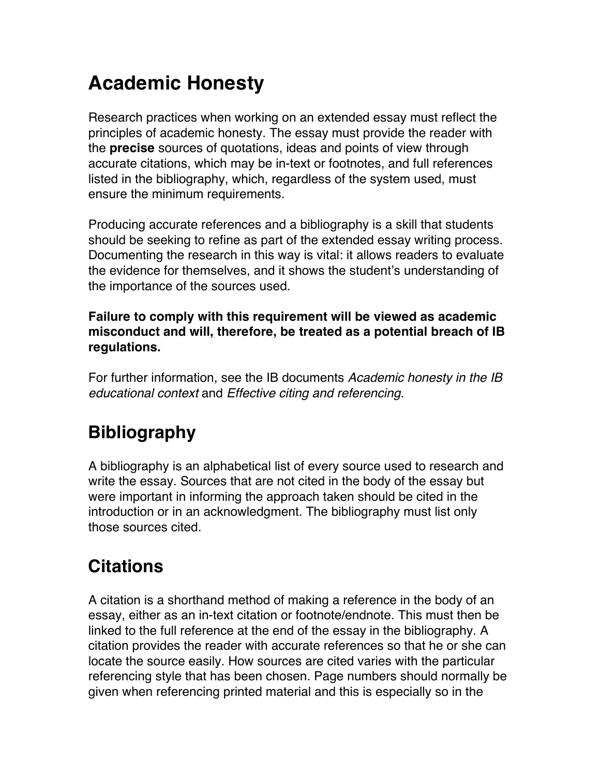# **Academic Honesty**

Research practices when working on an extended essay must reflect the principles of academic honesty. The essay must provide the reader with the **precise** sources of quotations, ideas and points of view through accurate citations, which may be in-text or footnotes, and full references listed in the bibliography, which, regardless of the system used, must ensure the minimum requirements.

Producing accurate references and a bibliography is a skill that students should be seeking to refine as part of the extended essay writing process. Documenting the research in this way is vital: it allows readers to evaluate the evidence for themselves, and it shows the student's understanding of the importance of the sources used.

**Failure to comply with this requirement will be viewed as academic misconduct and will, therefore, be treated as a potential breach of IB regulations.**

For further information, see the IB documents *Academic honesty in the IB educational context* and *Effective citing and referencing.*

## **Bibliography**

A bibliography is an alphabetical list of every source used to research and write the essay. Sources that are not cited in the body of the essay but were important in informing the approach taken should be cited in the introduction or in an acknowledgment. The bibliography must list only those sources cited.

## **Citations**

A citation is a shorthand method of making a reference in the body of an essay, either as an in-text citation or footnote/endnote. This must then be linked to the full reference at the end of the essay in the bibliography. A citation provides the reader with accurate references so that he or she can locate the source easily. How sources are cited varies with the particular referencing style that has been chosen. Page numbers should normally be given when referencing printed material and this is especially so in the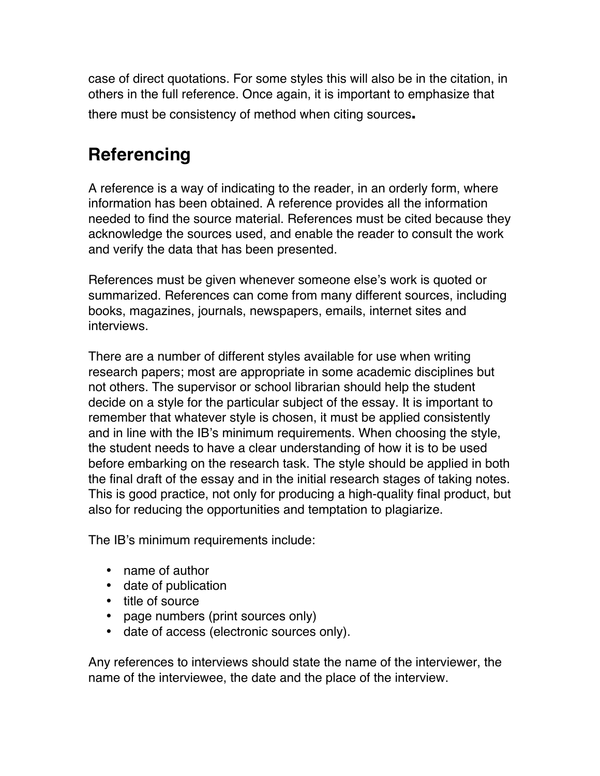case of direct quotations. For some styles this will also be in the citation, in others in the full reference. Once again, it is important to emphasize that there must be consistency of method when citing sources**.**

## **Referencing**

A reference is a way of indicating to the reader, in an orderly form, where information has been obtained. A reference provides all the information needed to find the source material. References must be cited because they acknowledge the sources used, and enable the reader to consult the work and verify the data that has been presented.

References must be given whenever someone else's work is quoted or summarized. References can come from many different sources, including books, magazines, journals, newspapers, emails, internet sites and interviews.

There are a number of different styles available for use when writing research papers; most are appropriate in some academic disciplines but not others. The supervisor or school librarian should help the student decide on a style for the particular subject of the essay. It is important to remember that whatever style is chosen, it must be applied consistently and in line with the IB's minimum requirements. When choosing the style, the student needs to have a clear understanding of how it is to be used before embarking on the research task. The style should be applied in both the final draft of the essay and in the initial research stages of taking notes. This is good practice, not only for producing a high-quality final product, but also for reducing the opportunities and temptation to plagiarize.

The IB's minimum requirements include:

- name of author
- date of publication
- title of source
- page numbers (print sources only)
- date of access (electronic sources only).

Any references to interviews should state the name of the interviewer, the name of the interviewee, the date and the place of the interview.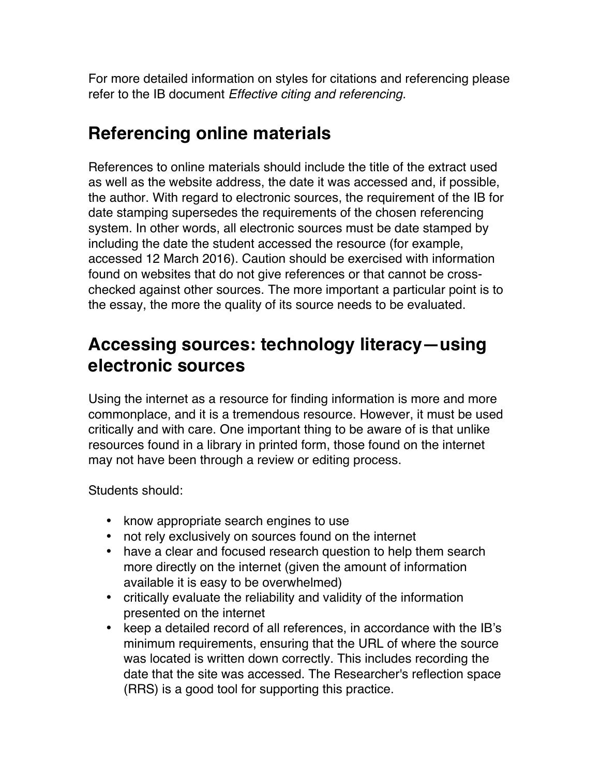For more detailed information on styles for citations and referencing please refer to the IB document *Effective citing and referencing.*

## **Referencing online materials**

References to online materials should include the title of the extract used as well as the website address, the date it was accessed and, if possible, the author. With regard to electronic sources, the requirement of the IB for date stamping supersedes the requirements of the chosen referencing system. In other words, all electronic sources must be date stamped by including the date the student accessed the resource (for example, accessed 12 March 2016). Caution should be exercised with information found on websites that do not give references or that cannot be crosschecked against other sources. The more important a particular point is to the essay, the more the quality of its source needs to be evaluated.

### **Accessing sources: technology literacy—using electronic sources**

Using the internet as a resource for finding information is more and more commonplace, and it is a tremendous resource. However, it must be used critically and with care. One important thing to be aware of is that unlike resources found in a library in printed form, those found on the internet may not have been through a review or editing process.

Students should:

- know appropriate search engines to use
- not rely exclusively on sources found on the internet
- have a clear and focused research question to help them search more directly on the internet (given the amount of information available it is easy to be overwhelmed)
- critically evaluate the reliability and validity of the information presented on the internet
- keep a detailed record of all references, in accordance with the IB's minimum requirements, ensuring that the URL of where the source was located is written down correctly. This includes recording the date that the site was accessed. The Researcher's reflection space (RRS) is a good tool for supporting this practice.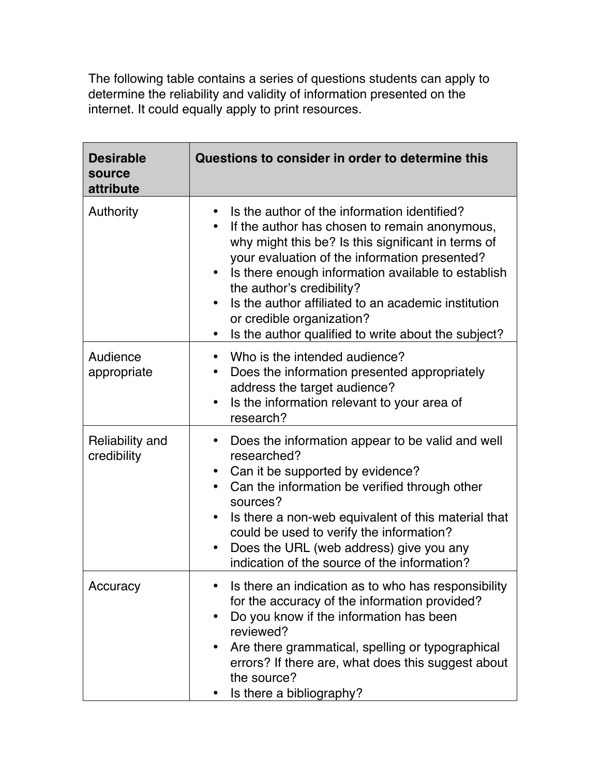The following table contains a series of questions students can apply to determine the reliability and validity of information presented on the internet. It could equally apply to print resources.

| <b>Desirable</b><br>source<br>attribute | Questions to consider in order to determine this                                                                                                                                                                                                                                                                                                                                                                                                |
|-----------------------------------------|-------------------------------------------------------------------------------------------------------------------------------------------------------------------------------------------------------------------------------------------------------------------------------------------------------------------------------------------------------------------------------------------------------------------------------------------------|
| Authority                               | Is the author of the information identified?<br>If the author has chosen to remain anonymous,<br>why might this be? Is this significant in terms of<br>your evaluation of the information presented?<br>Is there enough information available to establish<br>the author's credibility?<br>Is the author affiliated to an academic institution<br>or credible organization?<br>Is the author qualified to write about the subject?<br>$\bullet$ |
| Audience<br>appropriate                 | Who is the intended audience?<br>Does the information presented appropriately<br>address the target audience?<br>Is the information relevant to your area of<br>research?                                                                                                                                                                                                                                                                       |
| Reliability and<br>credibility          | Does the information appear to be valid and well<br>researched?<br>Can it be supported by evidence?<br>Can the information be verified through other<br>$\bullet$<br>sources?<br>Is there a non-web equivalent of this material that<br>$\bullet$<br>could be used to verify the information?<br>Does the URL (web address) give you any<br>indication of the source of the information?                                                        |
| Accuracy                                | Is there an indication as to who has responsibility<br>for the accuracy of the information provided?<br>Do you know if the information has been<br>reviewed?<br>Are there grammatical, spelling or typographical<br>errors? If there are, what does this suggest about<br>the source?<br>Is there a bibliography?                                                                                                                               |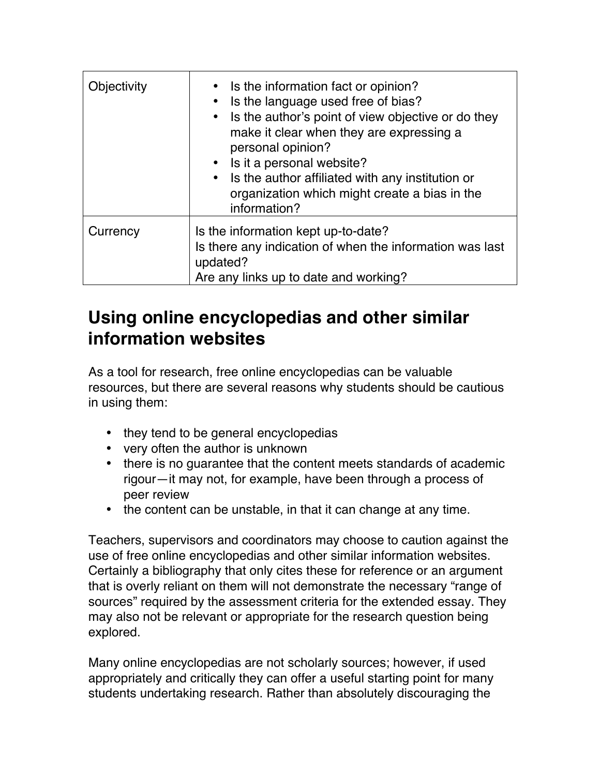| Objectivity | • Is the information fact or opinion?<br>• Is the language used free of bias?<br>Is the author's point of view objective or do they<br>make it clear when they are expressing a<br>personal opinion?<br>• Is it a personal website?<br>• Is the author affiliated with any institution or<br>organization which might create a bias in the<br>information? |
|-------------|------------------------------------------------------------------------------------------------------------------------------------------------------------------------------------------------------------------------------------------------------------------------------------------------------------------------------------------------------------|
| Currency    | Is the information kept up-to-date?<br>Is there any indication of when the information was last<br>updated?<br>Are any links up to date and working?                                                                                                                                                                                                       |

### **Using online encyclopedias and other similar information websites**

As a tool for research, free online encyclopedias can be valuable resources, but there are several reasons why students should be cautious in using them:

- they tend to be general encyclopedias
- very often the author is unknown
- there is no guarantee that the content meets standards of academic rigour—it may not, for example, have been through a process of peer review
- the content can be unstable, in that it can change at any time.

Teachers, supervisors and coordinators may choose to caution against the use of free online encyclopedias and other similar information websites. Certainly a bibliography that only cites these for reference or an argument that is overly reliant on them will not demonstrate the necessary "range of sources" required by the assessment criteria for the extended essay. They may also not be relevant or appropriate for the research question being explored.

Many online encyclopedias are not scholarly sources; however, if used appropriately and critically they can offer a useful starting point for many students undertaking research. Rather than absolutely discouraging the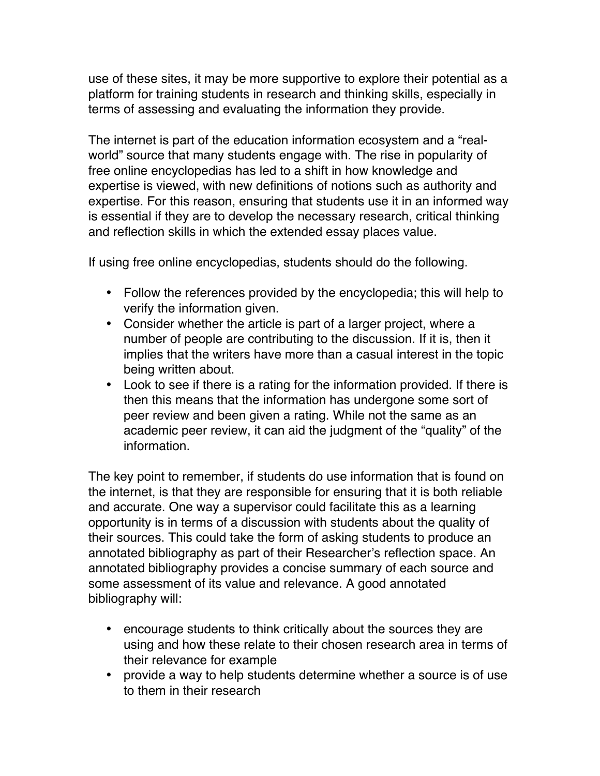use of these sites, it may be more supportive to explore their potential as a platform for training students in research and thinking skills, especially in terms of assessing and evaluating the information they provide.

The internet is part of the education information ecosystem and a "realworld" source that many students engage with. The rise in popularity of free online encyclopedias has led to a shift in how knowledge and expertise is viewed, with new definitions of notions such as authority and expertise. For this reason, ensuring that students use it in an informed way is essential if they are to develop the necessary research, critical thinking and reflection skills in which the extended essay places value.

If using free online encyclopedias, students should do the following.

- Follow the references provided by the encyclopedia; this will help to verify the information given.
- Consider whether the article is part of a larger project, where a number of people are contributing to the discussion. If it is, then it implies that the writers have more than a casual interest in the topic being written about.
- Look to see if there is a rating for the information provided. If there is then this means that the information has undergone some sort of peer review and been given a rating. While not the same as an academic peer review, it can aid the judgment of the "quality" of the information.

The key point to remember, if students do use information that is found on the internet, is that they are responsible for ensuring that it is both reliable and accurate. One way a supervisor could facilitate this as a learning opportunity is in terms of a discussion with students about the quality of their sources. This could take the form of asking students to produce an annotated bibliography as part of their Researcher's reflection space. An annotated bibliography provides a concise summary of each source and some assessment of its value and relevance. A good annotated bibliography will:

- encourage students to think critically about the sources they are using and how these relate to their chosen research area in terms of their relevance for example
- provide a way to help students determine whether a source is of use to them in their research